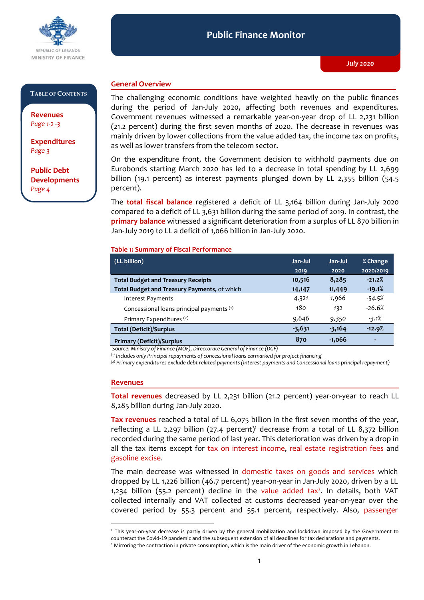

#### **Public Finance Monitor** *July 2020* **Public Finance Monitor**

#### **TABLE OF CONTENTS**

**Revenues**  *Page 1-2 -3*

**Expenditures**  *Page 3*

**Public Debt Developments** *Page 4*

## **General Overview**

The challenging economic conditions have weighted heavily on the public finances during the period of Jan-July 2020, affecting both revenues and expenditures. Government revenues witnessed a remarkable year-on-year drop of LL 2,231 billion (21.2 percent) during the first seven months of 2020. The decrease in revenues was mainly driven by lower collections from the value added tax, the income tax on profits, as well as lower transfers from the telecom sector.

On the expenditure front, the Government decision to withhold payments due on Eurobonds starting March 2020 has led to a decrease in total spending by LL 2,699 billion (19.1 percent) as interest payments plunged down by LL 2,355 billion (54.5 percent).

The **total fiscal balance** registered a deficit of LL 3,164 billion during Jan-July 2020 compared to a deficit of LL 3,631 billion during the same period of 2019. In contrast, the **primary balance** witnessed a significant deterioration from a surplus of LL 870 billion in Jan-July 2019 to LL a deficit of 1,066 billion in Jan-July 2020.

### **Table 1: Summary of Fiscal Performance**

| (LL billion)                                 | Jan-Jul  | Jan-Jul  | % Change                 |
|----------------------------------------------|----------|----------|--------------------------|
|                                              | 2019     | 2020     | 2020/2019                |
| <b>Total Budget and Treasury Receipts</b>    | 10,516   | 8,285    | $-21.2%$                 |
| Total Budget and Treasury Payments, of which | 14,147   | 11,449   | $-19.1%$                 |
| Interest Payments                            | 4,321    | 1,966    | -54.5%                   |
| Concessional loans principal payments (1)    | 180      | 132      | $-26.6%$                 |
| Primary Expenditures <sup>(2)</sup>          | 9,646    | 9,350    | $-3.1%$                  |
| <b>Total (Deficit)/Surplus</b>               | $-3,631$ | $-3,164$ | $-12.9%$                 |
| <b>Primary (Deficit)/Surplus</b>             | 870      | $-1,066$ | $\overline{\phantom{0}}$ |

*Source: Ministry of Finance (MOF), Directorate General of Finance (DGF)*

*(1) Includes only Principal repayments of concessional loans earmarked for project financing*

*(2) Primary expenditures exclude debt related payments (Interest payments and Concessional loans principal repayment)*

#### **Revenues**

-

**Total revenues** decreased by LL 2,231 billion (21.2 percent) year-on-year to reach LL 8,285 billion during Jan-July 2020.

**Tax revenues** reached a total of LL 6,075 billion in the first seven months of the year, reflecting a LL 2,297 billion (27.4 percent)<sup>1</sup> decrease from a total of LL 8,372 billion recorded during the same period of last year. This deterioration was driven by a drop in all the tax items except for tax on interest income, real estate registration fees and gasoline excise.

The main decrease was witnessed in domestic taxes on goods and services which dropped by LL 1,226 billion (46.7 percent) year-on-year in Jan-July 2020, driven by a LL  $1,234$  billion (55.2 percent) decline in the value added tax<sup>2</sup>. In details, both VAT collected internally and VAT collected at customs decreased year-on-year over the covered period by 55.3 percent and 55.1 percent, respectively. Also, passenger

<sup>1</sup> This year-on-year decrease is partly driven by the general mobilization and lockdown imposed by the Government to counteract the Covid-19 pandemic and the subsequent extension of all deadlines for tax declarations and payments.

<sup>&</sup>lt;sup>2</sup> Mirroring the contraction in private consumption, which is the main driver of the economic growth in Lebanon.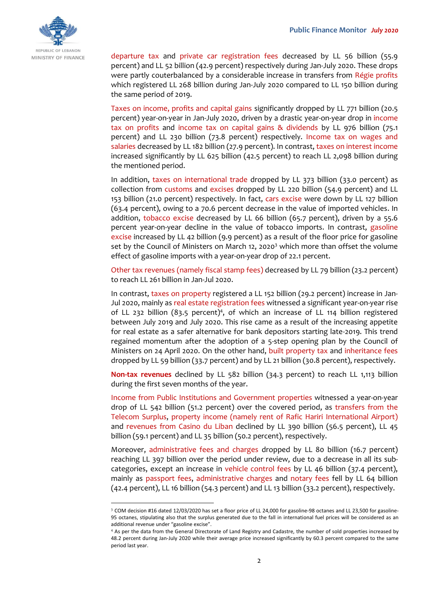

departure tax and private car registration fees decreased by LL 56 billion (55.9 percent) and LL 52 billion (42.9 percent) respectively during Jan-July 2020. These drops were partly couterbalanced by a considerable increase in transfers from Régie profits which registered LL 268 billion during Jan-July 2020 compared to LL 150 billion during the same period of 2019.

Taxes on income, profits and capital gains significantly dropped by LL 771 billion (20.5 percent) year-on-year in Jan-July 2020, driven by a drastic year-on-year drop in income tax on profits and income tax on capital gains & dividends by LL 976 billion (75.1 percent) and LL 230 billion (73.8 percent) respectively. Income tax on wages and salaries decreased by LL 182 billion (27.9 percent). In contrast, taxes on interest income increased significantly by LL 625 billion (42.5 percent) to reach LL 2,098 billion during the mentioned period.

In addition, taxes on international trade dropped by LL 373 billion (33.0 percent) as collection from customs and excises dropped by LL 220 billion (54.9 percent) and LL 153 billion (21.0 percent) respectively. In fact, cars excise were down by LL 127 billion (63.4 percent), owing to a 70.6 percent decrease in the value of imported vehicles. In addition, tobacco excise decreased by LL 66 billion (65.7 percent), driven by a 55.6 percent year-on-year decline in the value of tobacco imports. In contrast, gasoline excise increased by LL 42 billion (9.9 percent) as a result of the floor price for gasoline set by the Council of Ministers on March 12, 2020<sup>3</sup> which more than offset the volume effect of gasoline imports with a year-on-year drop of 22.1 percent.

Other tax revenues (namely fiscal stamp fees) decreased by LL 79 billion (23.2 percent) to reach LL 261 billion in Jan-Jul 2020.

In contrast, taxes on property registered a LL 152 billion (29.2 percent) increase in Jan-Jul 2020, mainly as real estate registration fees witnessed a significant year-on-year rise of LL 232 billion (83.5 percent)<sup>4</sup>, of which an increase of LL 114 billion registered between July 2019 and July 2020. This rise came as a result of the increasing appetite for real estate as a safer alternative for bank depositors starting late-2019. This trend regained momentum after the adoption of a 5-step opening plan by the Council of Ministers on 24 April 2020. On the other hand, built property tax and inheritance fees dropped by LL 59 billion (33.7 percent) and by LL 21 billion (30.8 percent), respectively.

**Non-tax revenues** declined by LL 582 billion (34.3 percent) to reach LL 1,113 billion during the first seven months of the year.

Income from Public Institutions and Government properties witnessed a year-on-year drop of LL 542 billion (51.2 percent) over the covered period, as transfers from the Telecom Surplus, property income (namely rent of Rafic Hariri International Airport) and revenues from Casino du Liban declined by LL 390 billion (56.5 percent), LL 45 billion (59.1 percent) and LL 35 billion (50.2 percent), respectively.

Moreover, administrative fees and charges dropped by LL 80 billion (16.7 percent) reaching LL 397 billion over the period under review, due to a decrease in all its subcategories, except an increase in vehicle control fees by LL 46 billion (37.4 percent), mainly as passport fees, administrative charges and notary fees fell by LL 64 billion (42.4 percent), LL 16 billion (54.3 percent) and LL 13 billion (33.2 percent), respectively.

-

<sup>3</sup> COM decision #16 dated 12/03/2020 has set a floor price of LL 24,000 for gasoline-98 octanes and LL 23,500 for gasoline-95 octanes, stipulating also that the surplus generated due to the fall in international fuel prices will be considered as an additional revenue under "gasoline excise".

<sup>4</sup> As per the data from the General Directorate of Land Registry and Cadastre, the number of sold properties increased by 48.2 percent during Jan-July 2020 while their average price increased significantly by 60.3 percent compared to the same period last year.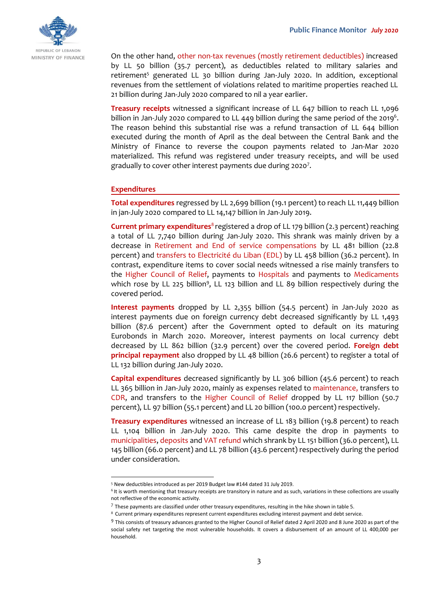

On the other hand, other non-tax revenues (mostly retirement deductibles) increased by LL 50 billion (35.7 percent), as deductibles related to military salaries and retirement<sup>5</sup> generated LL 30 billion during Jan-July 2020. In addition, exceptional revenues from the settlement of violations related to maritime properties reached LL 21 billion during Jan-July 2020 compared to nil a year earlier.

**Treasury receipts** witnessed a significant increase of LL 647 billion to reach LL 1,096 billion in Jan-July 2020 compared to LL 449 billion during the same period of the 2019<sup>6</sup>. The reason behind this substantial rise was a refund transaction of LL 644 billion executed during the month of April as the deal between the Central Bank and the Ministry of Finance to reverse the coupon payments related to Jan-Mar 2020 materialized. This refund was registered under treasury receipts, and will be used gradually to cover other interest payments due during 2020<sup>7</sup>.

## **Expenditures**

**Total expenditures** regressed by LL 2,699 billion (19.1 percent) to reach LL 11,449 billion in jan-July 2020 compared to LL 14,147 billion in Jan-July 2019.

**Current primary expenditures**<sup>8</sup> registered a drop of LL 179 billion (2.3 percent) reaching a total of LL 7,740 billion during Jan-July 2020. This shrank was mainly driven by a decrease in Retirement and End of service compensations by LL 481 billion (22.8 percent) and transfers to Electricité du Liban (EDL) by LL 458 billion (36.2 percent). In contrast, expenditure items to cover social needs witnessed a rise mainly transfers to the Higher Council of Relief, payments to Hospitals and payments to Medicaments which rose by LL 225 billion<sup>9</sup>, LL 123 billion and LL 89 billion respectively during the covered period.

**Interest payments** dropped by LL 2,355 billion (54.5 percent) in Jan-July 2020 as interest payments due on foreign currency debt decreased significantly by LL 1,493 billion (87.6 percent) after the Government opted to default on its maturing Eurobonds in March 2020. Moreover, interest payments on local currency debt decreased by LL 862 billion (32.9 percent) over the covered period. **Foreign debt principal repayment** also dropped by LL 48 billion (26.6 percent) to register a total of LL 132 billion during Jan-July 2020.

**Capital expenditures** decreased significantly by LL 306 billion (45.6 percent) to reach LL 365 billion in Jan-July 2020, mainly as expenses related to maintenance, transfers to CDR, and transfers to the Higher Council of Relief dropped by LL 117 billion (50.7 percent), LL 97 billion (55.1 percent) and LL 20 billion (100.0 percent) respectively.

**Treasury expenditures** witnessed an increase of LL 183 billion (19.8 percent) to reach LL 1,104 billion in Jan-July 2020. This came despite the drop in payments to municipalities, deposits and VAT refund which shrank by LL 151 billion (36.0 percent), LL 145 billion (66.0 percent) and LL 78 billion (43.6 percent) respectively during the period under consideration.

<sup>-</sup><sup>5</sup> New deductibles introduced as per 2019 Budget law #144 dated 31 July 2019.

<sup>&</sup>lt;sup>6</sup> It is worth mentioning that treasury receipts are transitory in nature and as such, variations in these collections are usually not reflective of the economic activity.

 $^7$  These payments are classified under other treasury expenditures, resulting in the hike shown in table 5.

<sup>8</sup> Current primary expenditures represent current expenditures excluding interest payment and debt service.

<sup>&</sup>lt;sup>9</sup> This consists of treasury advances granted to the Higher Council of Relief dated 2 April 2020 and 8 June 2020 as part of the social safety net targeting the most vulnerable households. It covers a disbursement of an amount of LL 400,000 per household.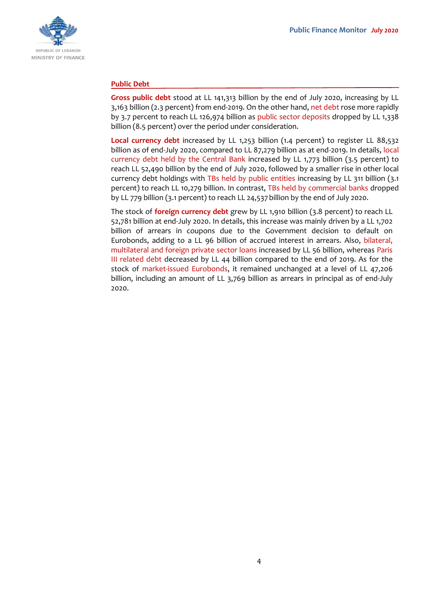

## **Public Debt**

**Gross public debt** stood at LL 141,313 billion by the end of July 2020, increasing by LL 3,163 billion (2.3 percent) from end-2019. On the other hand, net debt rose more rapidly by 3.7 percent to reach LL 126,974 billion as public sector deposits dropped by LL 1,338 billion (8.5 percent) over the period under consideration.

**Local currency debt** increased by LL 1,253 billion (1.4 percent) to register LL 88,532 billion as of end-July 2020, compared to LL 87,279 billion as at end-2019. In details, local currency debt held by the Central Bank increased by LL 1,773 billion (3.5 percent) to reach LL 52,490 billion by the end of July 2020, followed by a smaller rise in other local currency debt holdings with TBs held by public entities increasing by LL 311 billion (3.1 percent) to reach LL 10,279 billion. In contrast, TBs held by commercial banks dropped by LL 779 billion (3.1 percent) to reach LL 24,537billion by the end of July 2020.

The stock of **foreign currency debt** grew by LL 1,910 billion (3.8 percent) to reach LL 52,781 billion at end-July 2020. In details, this increase was mainly driven by a LL 1,702 billion of arrears in coupons due to the Government decision to default on Eurobonds, adding to a LL 96 billion of accrued interest in arrears. Also, bilateral, multilateral and foreign private sector loans increased by LL 56 billion, whereas Paris III related debt decreased by LL 44 billion compared to the end of 2019. As for the stock of market-issued Eurobonds, it remained unchanged at a level of LL 47,206 billion, including an amount of LL 3,769 billion as arrears in principal as of end-July 2020.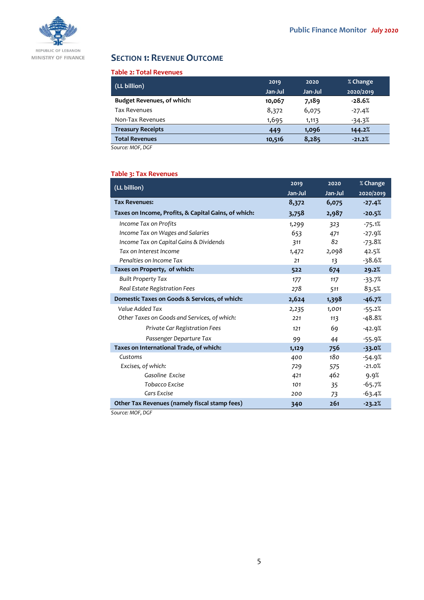

# **SECTION 1: REVENUE OUTCOME**

## **Table 2: Total Revenues**

| (LL billion)                      | 2019    | 2020    | % Change  |
|-----------------------------------|---------|---------|-----------|
|                                   | Jan-Jul | Jan-Jul | 2020/2019 |
| <b>Budget Revenues, of which:</b> | 10,067  | 7,189   | $-28.6%$  |
| <b>Tax Revenues</b>               | 8,372   | 6,075   | $-27.4%$  |
| Non-Tax Revenues                  | 1,695   | 1,113   | $-34.3%$  |
| <b>Treasury Receipts</b>          | 449     | 1,096   | 144.2%    |
| <b>Total Revenues</b>             | 10,516  | 8,285   | $-21.2%$  |

*Source: MOF, DGF*

## **Table 3: Tax Revenues**

| (LL billion)                                         | 2019    | 2020    | % Change  |
|------------------------------------------------------|---------|---------|-----------|
|                                                      | Jan-Jul | Jan-Jul | 2020/2019 |
| <b>Tax Revenues:</b>                                 | 8,372   | 6,075   | $-27.4%$  |
| Taxes on Income, Profits, & Capital Gains, of which: | 3,758   | 2,987   | $-20.5%$  |
| Income Tax on Profits                                | 1,299   | 323     | $-75.1%$  |
| Income Tax on Wages and Salaries                     | 653     | 471     | $-27.9%$  |
| Income Tax on Capital Gains & Dividends              | 311     | 82      | $-73.8%$  |
| Tax on Interest Income                               | 1,472   | 2,098   | 42.5%     |
| Penalties on Income Tax                              | 21      | 13      | $-38.6%$  |
| Taxes on Property, of which:                         | 522     | 674     | 29.2%     |
| <b>Built Property Tax</b>                            | 177     | 117     | $-33.7%$  |
| Real Estate Registration Fees                        | 278     | 511     | 83.5%     |
| Domestic Taxes on Goods & Services, of which:        | 2,624   | 1,398   | $-46.7%$  |
| Value Added Tax                                      | 2,235   | 1,001   | $-55.2%$  |
| Other Taxes on Goods and Services, of which:         | 221     | 113     | $-48.8%$  |
| Private Car Registration Fees                        | 121     | 69      | $-42.9%$  |
| Passenger Departure Tax                              | 99      | 44      | $-55.9%$  |
| Taxes on International Trade, of which:              | 1,129   | 756     | $-33.0%$  |
| Customs                                              | 400     | 180     | $-54.9%$  |
| Excises, of which:                                   | 729     | 575     | $-21.0%$  |
| Gasoline Excise                                      | 421     | 462     | 9.9%      |
| Tobacco Excise                                       | 101     | 35      | $-65.7%$  |
| Cars Excise                                          | 200     | 73      | $-63.4%$  |
| Other Tax Revenues (namely fiscal stamp fees)        | 340     | 261     | $-23.2%$  |

*Source: MOF, DGF*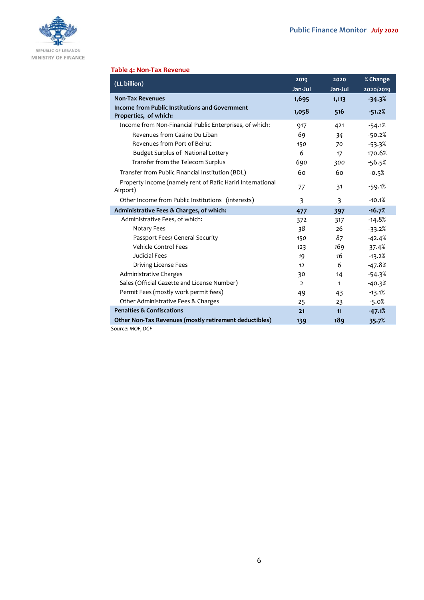

#### **Table 4: Non-Tax Revenue**

| (LL billion)                                                            | 2019           | 2020    | % Change  |
|-------------------------------------------------------------------------|----------------|---------|-----------|
|                                                                         | Jan-Jul        | Jan-Jul | 2020/2019 |
| <b>Non-Tax Revenues</b>                                                 | 1,695          | 1,113   | $-34.3%$  |
| Income from Public Institutions and Government<br>Properties, of which: | 1,058          | 516     | $-51.2%$  |
| Income from Non-Financial Public Enterprises, of which:                 | 917            | 421     | $-54.1%$  |
| Revenues from Casino Du Liban                                           | 69             | 34      | $-50.2%$  |
| Revenues from Port of Beirut                                            | 150            | 70      | $-53.3%$  |
| Budget Surplus of National Lottery                                      | 6              | 17      | 170.6%    |
| Transfer from the Telecom Surplus                                       | 690            | 300     | $-56.5%$  |
| Transfer from Public Financial Institution (BDL)                        | 60             | 60      | $-0.5%$   |
| Property Income (namely rent of Rafic Hariri International<br>Airport)  | 77             | 31      | $-59.1%$  |
| Other Income from Public Institutions (interests)                       | 3              | 3       | $-10.1%$  |
| Administrative Fees & Charges, of which:                                | 477            | 397     | $-16.7%$  |
| Administrative Fees, of which:                                          | 372            | 317     | $-14.8%$  |
| Notary Fees                                                             | 38             | 26      | $-33.2%$  |
| Passport Fees/ General Security                                         | 150            | 87      | $-42.4%$  |
| Vehicle Control Fees                                                    | 123            | 169     | 37.4%     |
| Judicial Fees                                                           | 19             | 16      | $-13.2%$  |
| Driving License Fees                                                    | 12             | 6       | $-47.8%$  |
| Administrative Charges                                                  | 30             | 14      | $-54.3%$  |
| Sales (Official Gazette and License Number)                             | $\overline{2}$ | 1       | $-40.3%$  |
| Permit Fees (mostly work permit fees)                                   | 49             | 43      | $-13.1%$  |
| Other Administrative Fees & Charges                                     | 25             | 23      | $-5.0%$   |
| <b>Penalties &amp; Confiscations</b>                                    | 21             | 11      | $-47.1%$  |
| Other Non-Tax Revenues (mostly retirement deductibles)                  | 139            | 189     | 35.7%     |
| Source: MOF, DGF                                                        |                |         |           |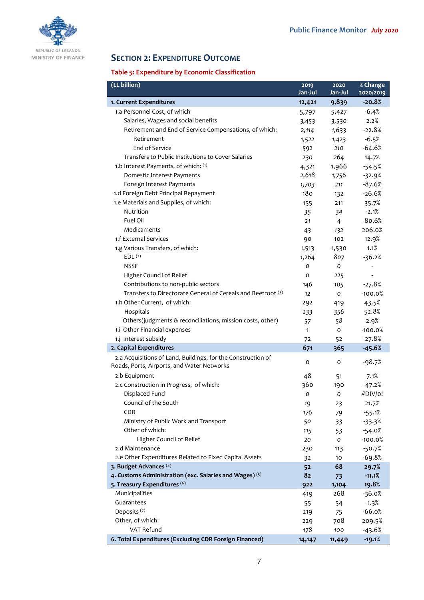

# **SECTION 2: EXPENDITURE OUTCOME**

## **Table 5: Expenditure by Economic Classification**

| (LL billion)                                                                                               | 2019         | 2020           | % Change  |
|------------------------------------------------------------------------------------------------------------|--------------|----------------|-----------|
|                                                                                                            | Jan-Jul      | Jan-Jul        | 2020/2019 |
| 1. Current Expenditures                                                                                    | 12,421       | 9,839          | $-20.8%$  |
| 1.a Personnel Cost, of which                                                                               | 5,797        | 5,427          | $-6.4%$   |
| Salaries, Wages and social benefits                                                                        | 3,453        | 3,530          | 2.2%      |
| Retirement and End of Service Compensations, of which:                                                     | 2,114        | 1,633          | $-22.8%$  |
| Retirement                                                                                                 | 1,522        | 1,423          | $-6.5%$   |
| End of Service                                                                                             | 592          | 210            | $-64.6%$  |
| Transfers to Public Institutions to Cover Salaries                                                         | 230          | 264            | 14.7%     |
| 1.b Interest Payments, of which: (1)                                                                       | 4,321        | 1,966          | $-54.5%$  |
| Domestic Interest Payments                                                                                 | 2,618        | 1,756          | $-32.9%$  |
| Foreign Interest Payments                                                                                  | 1,703        | 211            | $-87.6%$  |
| 1.d Foreign Debt Principal Repayment                                                                       | 180          | 132            | $-26.6%$  |
| 1.e Materials and Supplies, of which:                                                                      | 155          | 211            | 35.7%     |
| Nutrition                                                                                                  | 35           | 34             | $-2.1%$   |
| Fuel Oil                                                                                                   | 21           | $\overline{4}$ | $-80.6%$  |
| Medicaments                                                                                                | 43           | 132            | 206.0%    |
| 1.f External Services                                                                                      | 90           | 102            | 12.9%     |
| 1.g Various Transfers, of which:                                                                           | 1,513        | 1,530          | 1.1%      |
| EDL <sup>(2)</sup>                                                                                         | 1,264        | 807            | $-36.2%$  |
| <b>NSSF</b>                                                                                                | 0            | $\mathcal{O}$  |           |
| Higher Council of Relief                                                                                   | O            | 225            | L,        |
| Contributions to non-public sectors                                                                        | 146          | 105            | $-27.8%$  |
| Transfers to Directorate General of Cereals and Beetroot (3)                                               | 12           | 0              | $-100.0%$ |
| 1.h Other Current, of which:                                                                               | 292          | 419            | 43.5%     |
| Hospitals                                                                                                  | 233          | 356            | 52.8%     |
| Others(judgments & reconciliations, mission costs, other)                                                  | 57           | 58             | 2.9%      |
| 1.i Other Financial expenses                                                                               | $\mathbf{1}$ | o              | $-100.0%$ |
| 1.j Interest subsidy                                                                                       | 72           | 52             | $-27.8%$  |
| 2. Capital Expenditures                                                                                    | 671          | 365            | $-45.6%$  |
| 2.a Acquisitions of Land, Buildings, for the Construction of<br>Roads, Ports, Airports, and Water Networks | 0            | 0              | $-98.7%$  |
| 2.b Equipment                                                                                              | 48           | 51             | 7.1%      |
| 2.c Construction in Progress, of which:                                                                    | 360          | 190            | $-47.2%$  |
| Displaced Fund                                                                                             | O            | 0              | #DIV/o!   |
| Council of the South                                                                                       | 19           | 23             | 21.7%     |
| CDR                                                                                                        | 176          | 79             | $-55.1%$  |
| Ministry of Public Work and Transport                                                                      | 50           | 33             | $-33.3%$  |
| Other of which:                                                                                            | 115          | 53             | $-54.0%$  |
| Higher Council of Relief                                                                                   | 20           | 0              | $-100.0%$ |
| 2.d Maintenance                                                                                            | 230          | 113            | $-50.7%$  |
| 2.e Other Expenditures Related to Fixed Capital Assets                                                     | 32           | 10             | $-69.8%$  |
| 3. Budget Advances (4)                                                                                     | 52           | 68             | 29.7%     |
| 4. Customs Administration (exc. Salaries and Wages) (5)                                                    | 82           | 73             | $-11.1%$  |
| 5. Treasury Expenditures (6)                                                                               | 922          | 1,104          | 19.8%     |
| Municipalities                                                                                             | 419          | 268            | $-36.0%$  |
| Guarantees                                                                                                 | 55           | 54             | $-1.3%$   |
| Deposits <sup>(7)</sup>                                                                                    | 219          | 75             | $-66.0%$  |
| Other, of which:                                                                                           | 229          | 708            | 209.5%    |
| VAT Refund                                                                                                 | 178          | 100            | $-43.6%$  |
| 6. Total Expenditures (Excluding CDR Foreign Financed)                                                     | 14,147       | 11,449         | $-19.1%$  |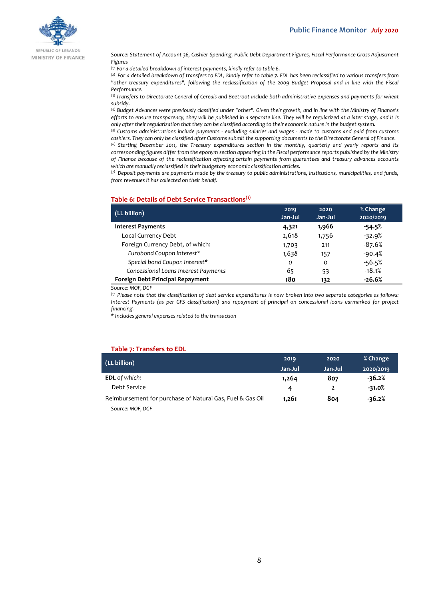

REPUBLIC OF LEBANON MINISTRY OF FINANCE

*Source: Statement of Account 36, Cashier Spending, Public Debt Department Figures, Fiscal Performance Gross Adjustment Figures*

*(1) For a detailed breakdown of interest payments, kindly refer to table 6.*

*(2) For a detailed breakdown of transfers to EDL, kindly refer to table 7. EDL has been reclassified to various transfers from "other treasury expenditures", following the reclassification of the 2009 Budget Proposal and in line with the Fiscal Performance.*

*(3) Transfers to Directorate General of Cereals and Beetroot include both administrative expenses and payments for wheat subsidy.*

*(4) Budget Advances were previously classified under "other". Given their growth, and in line with the Ministry of Finance's efforts to ensure transparency, they will be published in a separate line. They will be regularized at a later stage, and it is only after their regularization that they can be classified according to their economic nature in the budget system.*

*(5) Customs administrations include payments - excluding salaries and wages - made to customs and paid from customs cashiers. They can only be classified after Customs submit the supporting documents to the Directorate General of Finance.*

*(6) Starting December 2011, the Treasury expenditures section in the monthly, quarterly and yearly reports and its corresponding figures differ from the eponym section appearing in the Fiscal performance reports published by the Ministry of Finance because of the reclassification affecting certain payments from guarantees and treasury advances accounts which are manually reclassified in their budgetary economic classification articles.*

*(7) Deposit payments are payments made by the treasury to public administrations, institutions, municipalities, and funds, from revenues it has collected on their behalf.*

#### **Table 6: Details of Debt Service Transactions(1)**

| (LL billion)                         | 2019<br>Jan-Jul | 2020<br>Jan-Jul | % Change<br>2020/2019 |
|--------------------------------------|-----------------|-----------------|-----------------------|
| <b>Interest Payments</b>             | 4,321           | 1,966           | $-54.5%$              |
| Local Currency Debt                  | 2,618           | 1,756           | $-32.9%$              |
| Foreign Currency Debt, of which:     | 1,703           | 211             | $-87.6%$              |
| Eurobond Coupon Interest*            | 1,638           | 157             | $-90.4%$              |
| Special bond Coupon Interest*        | $\mathcal{O}$   | 0               | $-56.5%$              |
| Concessional Loans Interest Payments | 65              | 53              | $-18.1%$              |
| Foreign Debt Principal Repayment     | 180             | 132             | -26.6%                |

*Source: MOF, DGF*

*(1) Please note that the classification of debt service expenditures is now broken into two separate categories as follows: Interest Payments (as per GFS classification) and repayment of principal on concessional loans earmarked for project financing.*

*\* Includes general expenses related to the transaction*

#### **Table 7: Transfers to EDL**

| (LL billion)                                              | 2019    | 2020    | % Change  |
|-----------------------------------------------------------|---------|---------|-----------|
|                                                           | Jan-Jul | Jan-Jul | 2020/2019 |
| <b>EDL</b> of which:                                      | 1,264   | 807     | $-36.2%$  |
| Debt Service                                              | Δ       |         | $-31.0%$  |
| Reimbursement for purchase of Natural Gas, Fuel & Gas Oil | 1.261   | 804     | $-36.2%$  |

*Source: MOF, DGF*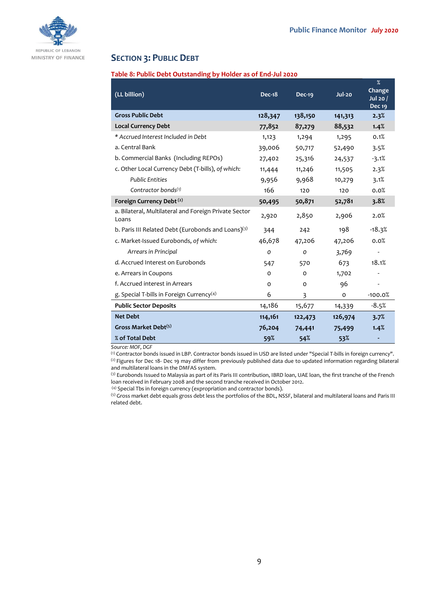

## **SECTION 3: PUBLIC DEBT**

## **Table 8: Public Debt Outstanding by Holder as of End-Jul 2020**

| (LL billion)                                                   | <b>Dec-18</b> | <b>Dec-19</b> | <b>Jul-20</b> | %<br>Change<br>Jul 20 /<br><b>Dec 19</b> |
|----------------------------------------------------------------|---------------|---------------|---------------|------------------------------------------|
| <b>Gross Public Debt</b>                                       | 128,347       | 138,150       | 141,313       | 2.3%                                     |
| <b>Local Currency Debt</b>                                     | 77,852        | 87,279        | 88,532        | 1.4%                                     |
| * Accrued Interest Included in Debt                            | 1,123         | 1,294         | 1,295         | 0.1%                                     |
| a. Central Bank                                                | 39,006        | 50,717        | 52,490        | 3.5%                                     |
| b. Commercial Banks (Including REPOs)                          | 27,402        | 25,316        | 24,537        | $-3.1%$                                  |
| c. Other Local Currency Debt (T-bills), of which:              | 11,444        | 11,246        | 11,505        | 2.3%                                     |
| <b>Public Entities</b>                                         | 9,956         | 9,968         | 10,279        | 3.1%                                     |
| Contractor bonds $(1)$                                         | 166           | 120           | 120           | 0.0%                                     |
| Foreign Currency Debt <sup>(2)</sup>                           | 50,495        | 50,871        | 52,781        | 3.8%                                     |
| a. Bilateral, Multilateral and Foreign Private Sector<br>Loans | 2,920         | 2,850         | 2,906         | 2.0%                                     |
| b. Paris III Related Debt (Eurobonds and Loans)(3)             | 344           | 242           | 198           | $-18.3%$                                 |
| c. Market-Issued Eurobonds, of which:                          | 46,678        | 47,206        | 47,206        | 0.0%                                     |
| Arrears in Principal                                           | O             | $\mathbf{o}$  | 3,769         |                                          |
| d. Accrued Interest on Eurobonds                               | 547           | 570           | 673           | 18.1%                                    |
| e. Arrears in Coupons                                          | O             | O             | 1,702         |                                          |
| f. Accrued interest in Arrears                                 | $\Omega$      | 0             | 96            |                                          |
| g. Special T-bills in Foreign Currency <sup>(4)</sup>          | 6             | 3             | o             | $-100.0%$                                |
| <b>Public Sector Deposits</b>                                  | 14,186        | 15,677        | 14,339        | $-8.5%$                                  |
| <b>Net Debt</b>                                                | 114,161       | 122,473       | 126,974       | 3.7%                                     |
| Gross Market Debt <sup>(5)</sup>                               | 76,204        | 74,441        | 75,499        | 1.4%                                     |
| % of Total Debt                                                | 59%           | 54%           | 53%           |                                          |

*Source: MOF, DGF*

(1) Contractor bonds issued in LBP. Contractor bonds issued in USD are listed under "Special T-bills in foreign currency". (2) Figures for Dec 18- Dec 19 may differ from previously published data due to updated information regarding bilateral and multilateral loans in the DMFAS system.

(3) Eurobonds Issued to Malaysia as part of its Paris III contribution, IBRD loan, UAE loan, the first tranche of the French loan received in February 2008 and the second tranche received in October 2012.

(4) Special Tbs in foreign currency (expropriation and contractor bonds).

(5) Gross market debt equals gross debt less the portfolios of the BDL, NSSF, bilateral and multilateral loans and Paris III related debt.